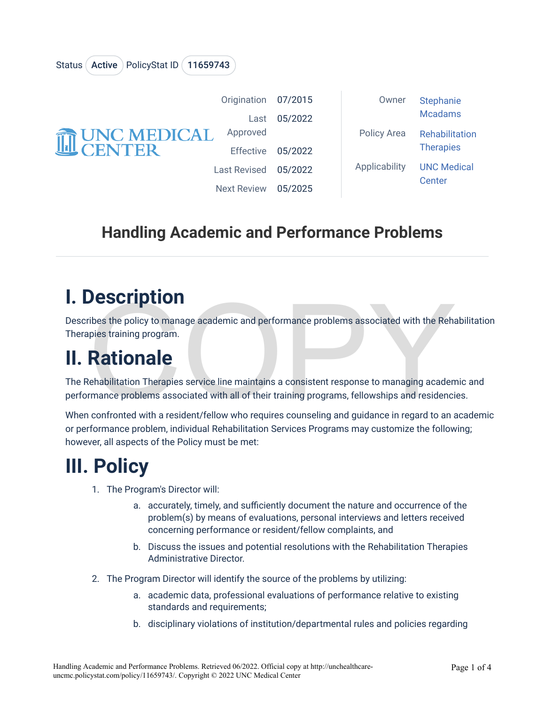| <b>THE UNC MEDICAL</b> | Origination 07/2015 |         | Owner         | <b>Stephanie</b>             |
|------------------------|---------------------|---------|---------------|------------------------------|
|                        | Last                | 05/2022 |               | <b>Mcadams</b>               |
|                        | Approved            |         | Policy Area   | Rehabilitation               |
|                        | <b>Effective</b>    | 05/2022 |               | <b>Therapies</b>             |
|                        | <b>Last Revised</b> | 05/2022 | Applicability | <b>UNC Medical</b><br>Center |
|                        | <b>Next Review</b>  | 05/2025 |               |                              |

#### **Handling Academic and Performance Problems**

### **I. Description**

Status (Active ) PolicyStat ID (11659743

Describes the policy to manage academic and performance problems associated with the Rehabilitation Therapies training program.

# **II. Rationale**

**DESCIPTION**<br>
Thes the policy to manage academic and performance problems associated with the Rehaplies<br>
training program.<br> **Rationale**<br>
Cehabilitation Therapies service line maintains a consistent response to managing aca The Rehabilitation Therapies service line maintains a consistent response to managing academic and performance problems associated with all of their training programs, fellowships and residencies.

When confronted with a resident/fellow who requires counseling and guidance in regard to an academic or performance problem, individual Rehabilitation Services Programs may customize the following; however, all aspects of the Policy must be met:

## **III. Policy**

- 1. The Program's Director will:
	- a. accurately, timely, and sufficiently document the nature and occurrence of the problem(s) by means of evaluations, personal interviews and letters received concerning performance or resident/fellow complaints, and
	- b. Discuss the issues and potential resolutions with the Rehabilitation Therapies Administrative Director.
- 2. The Program Director will identify the source of the problems by utilizing:
	- a. academic data, professional evaluations of performance relative to existing standards and requirements;
	- b. disciplinary violations of institution/departmental rules and policies regarding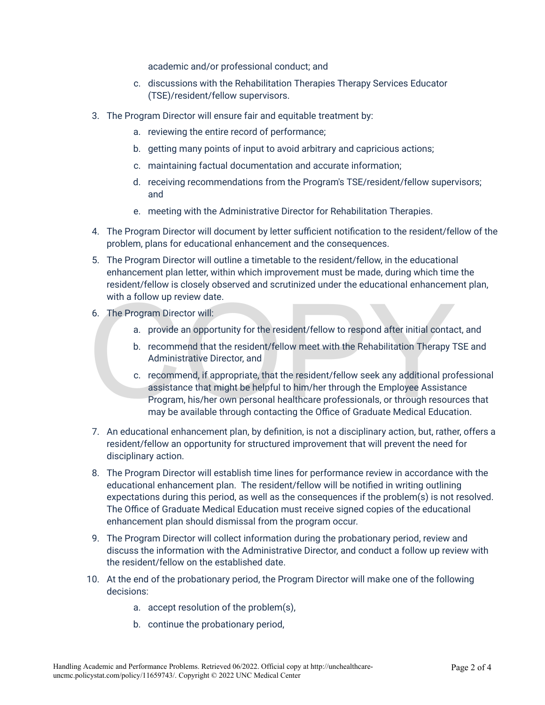academic and/or professional conduct; and

- c. discussions with the Rehabilitation Therapies Therapy Services Educator (TSE)/resident/fellow supervisors.
- 3. The Program Director will ensure fair and equitable treatment by:
	- a. reviewing the entire record of performance;
	- b. getting many points of input to avoid arbitrary and capricious actions;
	- c. maintaining factual documentation and accurate information;
	- d. receiving recommendations from the Program's TSE/resident/fellow supervisors; and
	- e. meeting with the Administrative Director for Rehabilitation Therapies.
- 4. The Program Director will document by letter sufficient notification to the resident/fellow of the problem, plans for educational enhancement and the consequences.
- 5. The Program Director will outline a timetable to the resident/fellow, in the educational enhancement plan letter, within which improvement must be made, during which time the resident/fellow is closely observed and scrutinized under the educational enhancement plan, with a follow up review date.
- 6. The Program Director will:
	- a. provide an opportunity for the resident/fellow to respond after initial contact, and
	- b. recommend that the resident/fellow meet with the Rehabilitation Therapy TSE and Administrative Director, and
- with a follow up review date.<br>
6. The Program Director will:<br>
a. provide an opportunity for the resident/fellow to respond after initial contact<br>
b. recommend that the resident/fellow meet with the Rehabilitation Therapy T c. recommend, if appropriate, that the resident/fellow seek any additional professional assistance that might be helpful to him/her through the Employee Assistance Program, his/her own personal healthcare professionals, or through resources that may be available through contacting the Office of Graduate Medical Education.
- 7. An educational enhancement plan, by definition, is not a disciplinary action, but, rather, offers a resident/fellow an opportunity for structured improvement that will prevent the need for disciplinary action.
- 8. The Program Director will establish time lines for performance review in accordance with the educational enhancement plan. The resident/fellow will be notified in writing outlining expectations during this period, as well as the consequences if the problem(s) is not resolved. The Office of Graduate Medical Education must receive signed copies of the educational enhancement plan should dismissal from the program occur.
- 9. The Program Director will collect information during the probationary period, review and discuss the information with the Administrative Director, and conduct a follow up review with the resident/fellow on the established date.
- 10. At the end of the probationary period, the Program Director will make one of the following decisions:
	- a. accept resolution of the problem(s),
	- b. continue the probationary period,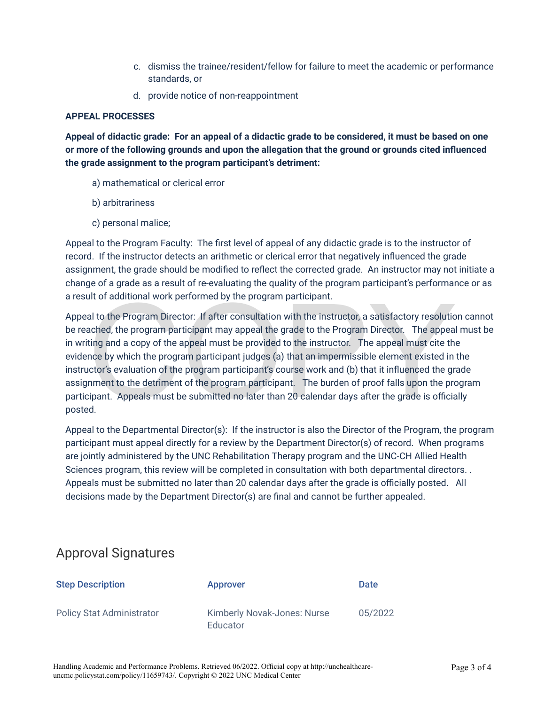- c. dismiss the trainee/resident/fellow for failure to meet the academic or performance standards, or
- d. provide notice of non-reappointment

#### **APPEAL PROCESSES**

**Appeal of didactic grade: For an appeal of a didactic grade to be considered, it must be based on one or more of the following grounds and upon the allegation that the ground or grounds cited influenced the grade assignment to the program participant's detriment:** 

- a) mathematical or clerical error
- b) arbitrariness
- c) personal malice;

Appeal to the Program Faculty: The first level of appeal of any didactic grade is to the instructor of record. If the instructor detects an arithmetic or clerical error that negatively influenced the grade assignment, the grade should be modified to reflect the corrected grade. An instructor may not initiate a change of a grade as a result of re-evaluating the quality of the program participant's performance or as a result of additional work performed by the program participant.

Ilt of additional work performed by the program participant.<br>
al to the Program Director: If after consultation with the instructor, a satisfactory resolutio<br>
ached, the program participant may appeal the grade to the Prog Appeal to the Program Director: If after consultation with the instructor, a satisfactory resolution cannot be reached, the program participant may appeal the grade to the Program Director. The appeal must be in writing and a copy of the appeal must be provided to the instructor. The appeal must cite the evidence by which the program participant judges (a) that an impermissible element existed in the instructor's evaluation of the program participant's course work and (b) that it influenced the grade assignment to the detriment of the program participant. The burden of proof falls upon the program participant. Appeals must be submitted no later than 20 calendar days after the grade is officially posted.

Appeal to the Departmental Director(s): If the instructor is also the Director of the Program, the program participant must appeal directly for a review by the Department Director(s) of record. When programs are jointly administered by the UNC Rehabilitation Therapy program and the UNC-CH Allied Health Sciences program, this review will be completed in consultation with both departmental directors. . Appeals must be submitted no later than 20 calendar days after the grade is officially posted. All decisions made by the Department Director(s) are final and cannot be further appealed.

#### Approval Signatures

| <b>Step Description</b>          | <b>Approver</b>                                | Date    |
|----------------------------------|------------------------------------------------|---------|
| <b>Policy Stat Administrator</b> | <b>Kimberly Novak-Jones: Nurse</b><br>Educator | 05/2022 |